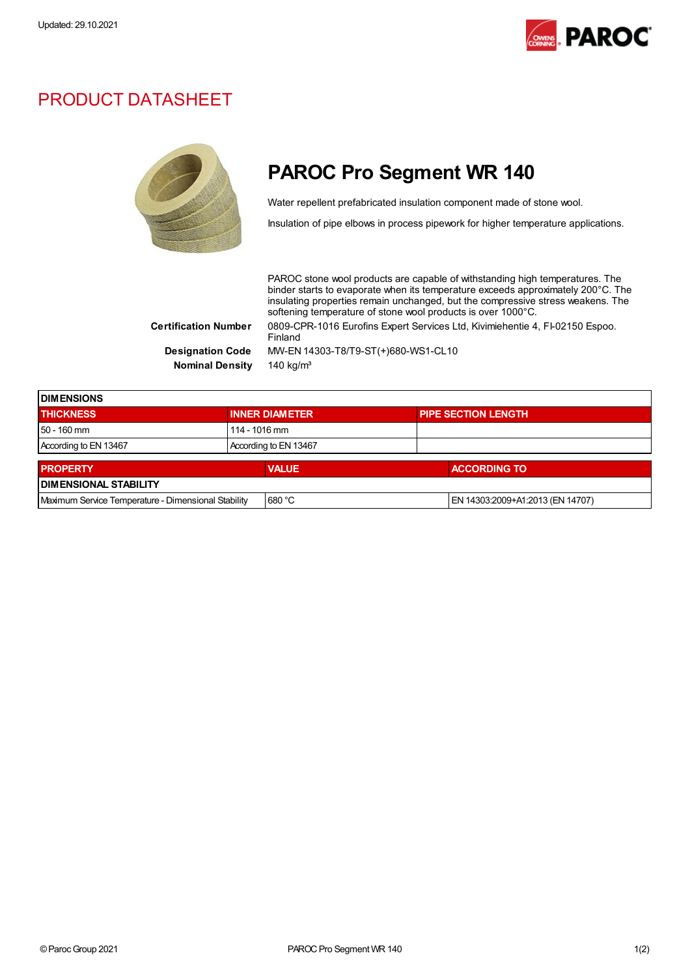

## PRODUCT DATASHEET



## PAROC Pro Segment WR 140

Water repellent prefabricated insulation component made of stone wool.

Insulation of pipe elbows in process pipework for higher temperature applications.

PAROC stone wool products are capable of withstanding high temperatures. The binder starts to evaporate when its temperature exceeds approximately 200°C. The insulating properties remain unchanged, but the compressive stress weakens. The softening temperature of stone wool products is over 1000°C. Certification Number 0809-CPR-1016 Eurofins Expert Services Ltd, Kivimiehentie 4, FI-02150 Espoo. Finland Designation Code MW-EN 14303-T8/T9-ST(+)680-WS1-CL10 Nominal Density 140 kg/m<sup>3</sup>

| <b>DIMENSIONS</b>                                   |  |                       |  |                                  |  |
|-----------------------------------------------------|--|-----------------------|--|----------------------------------|--|
| <b>THICKNESS</b>                                    |  | <b>INNER DIAMETER</b> |  | <b>PIPE SECTION LENGTH</b>       |  |
| $150 - 160$ mm                                      |  | 114 - 1016 mm         |  |                                  |  |
| According to EN 13467                               |  | According to EN 13467 |  |                                  |  |
| <b>PROPERTY</b>                                     |  | <b>VALUE</b>          |  | <b>ACCORDING TO</b>              |  |
| <b>DIMENSIONAL STABILITY</b>                        |  |                       |  |                                  |  |
| Maximum Service Temperature - Dimensional Stability |  | 680 °C                |  | EN 14303:2009+A1:2013 (EN 14707) |  |